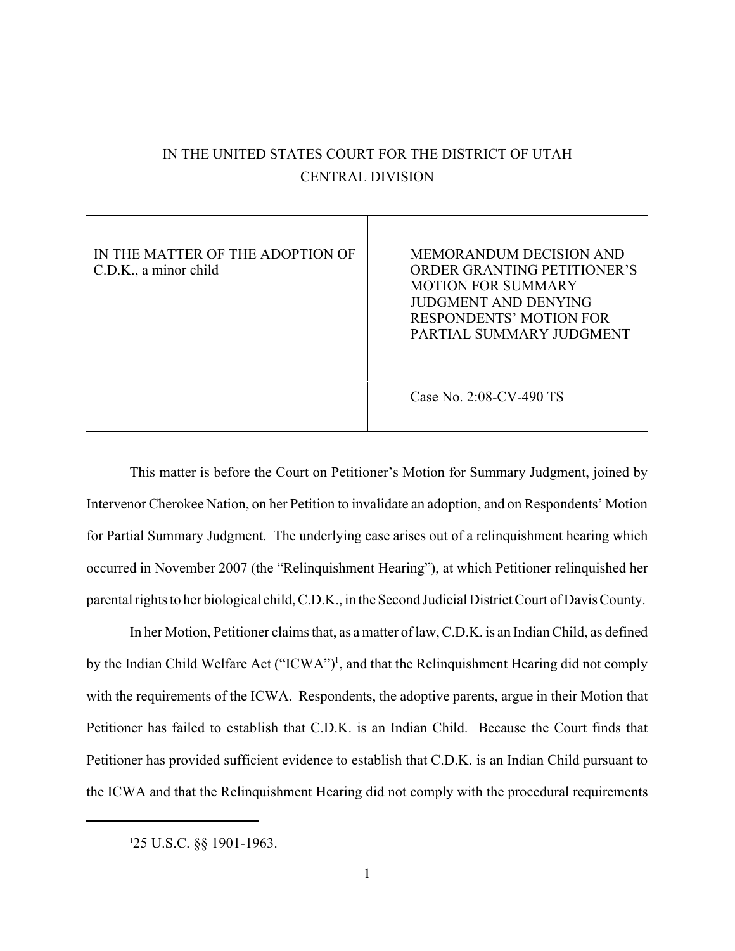# IN THE UNITED STATES COURT FOR THE DISTRICT OF UTAH CENTRAL DIVISION

IN THE MATTER OF THE ADOPTION OF C.D.K., a minor child

MEMORANDUM DECISION AND ORDER GRANTING PETITIONER'S MOTION FOR SUMMARY JUDGMENT AND DENYING RESPONDENTS' MOTION FOR PARTIAL SUMMARY JUDGMENT

Case No. 2:08-CV-490 TS

This matter is before the Court on Petitioner's Motion for Summary Judgment, joined by Intervenor Cherokee Nation, on her Petition to invalidate an adoption, and on Respondents' Motion for Partial Summary Judgment. The underlying case arises out of a relinquishment hearing which occurred in November 2007 (the "Relinquishment Hearing"), at which Petitioner relinquished her parental rights to her biological child, C.D.K., in the Second Judicial District Court of Davis County.

In her Motion, Petitioner claims that, as a matter of law, C.D.K. is an Indian Child, as defined by the Indian Child Welfare Act ("ICWA")<sup>1</sup>, and that the Relinquishment Hearing did not comply with the requirements of the ICWA. Respondents, the adoptive parents, argue in their Motion that Petitioner has failed to establish that C.D.K. is an Indian Child. Because the Court finds that Petitioner has provided sufficient evidence to establish that C.D.K. is an Indian Child pursuant to the ICWA and that the Relinquishment Hearing did not comply with the procedural requirements

<sup>25</sup> U.S.C. §§ 1901-1963. <sup>1</sup>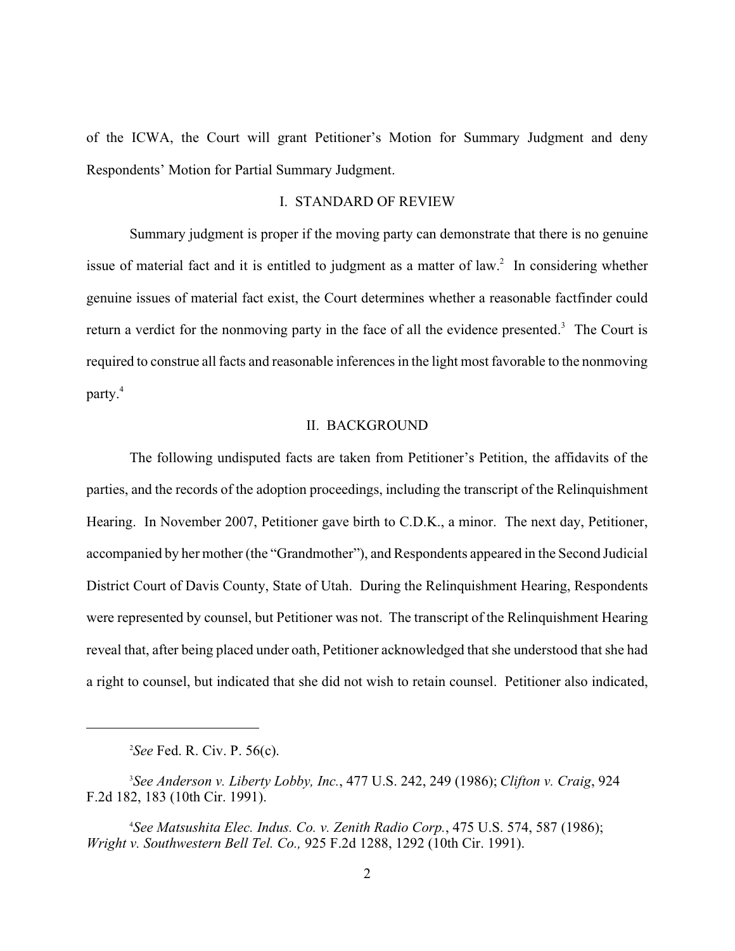of the ICWA, the Court will grant Petitioner's Motion for Summary Judgment and deny Respondents' Motion for Partial Summary Judgment.

## I. STANDARD OF REVIEW

Summary judgment is proper if the moving party can demonstrate that there is no genuine issue of material fact and it is entitled to judgment as a matter of law.<sup>2</sup> In considering whether genuine issues of material fact exist, the Court determines whether a reasonable factfinder could return a verdict for the nonmoving party in the face of all the evidence presented.<sup>3</sup> The Court is required to construe all facts and reasonable inferences in the light most favorable to the nonmoving party.<sup>4</sup>

## II. BACKGROUND

The following undisputed facts are taken from Petitioner's Petition, the affidavits of the parties, and the records of the adoption proceedings, including the transcript of the Relinquishment Hearing. In November 2007, Petitioner gave birth to C.D.K., a minor. The next day, Petitioner, accompanied by her mother (the "Grandmother"), and Respondents appeared in the Second Judicial District Court of Davis County, State of Utah. During the Relinquishment Hearing, Respondents were represented by counsel, but Petitioner was not. The transcript of the Relinquishment Hearing reveal that, after being placed under oath, Petitioner acknowledged that she understood that she had a right to counsel, but indicated that she did not wish to retain counsel. Petitioner also indicated,

<sup>&</sup>lt;sup>2</sup>See Fed. R. Civ. P. 56(c).

*See Anderson v. Liberty Lobby, Inc.*, 477 U.S. 242, 249 (1986); *Clifton v. Craig*, 924 <sup>3</sup> F.2d 182, 183 (10th Cir. 1991).

*See Matsushita Elec. Indus. Co. v. Zenith Radio Corp.*, 475 U.S. 574, 587 (1986); <sup>4</sup> *Wright v. Southwestern Bell Tel. Co.,* 925 F.2d 1288, 1292 (10th Cir. 1991).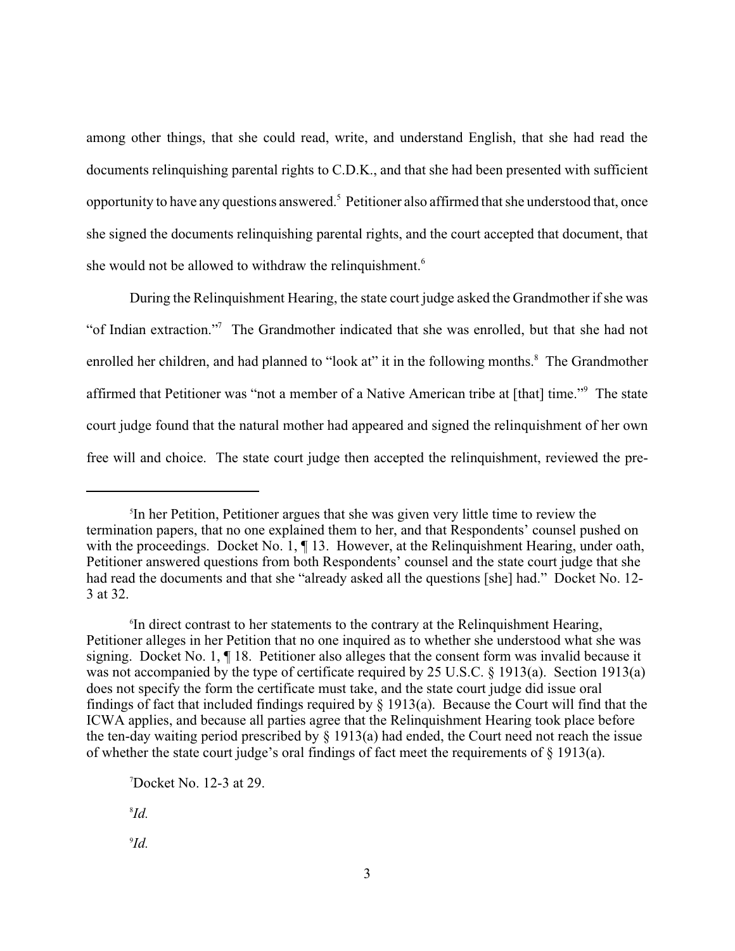among other things, that she could read, write, and understand English, that she had read the documents relinquishing parental rights to C.D.K., and that she had been presented with sufficient opportunity to have any questions answered.<sup>5</sup> Petitioner also affirmed that she understood that, once she signed the documents relinquishing parental rights, and the court accepted that document, that she would not be allowed to withdraw the relinquishment.<sup> $6$ </sup>

During the Relinquishment Hearing, the state court judge asked the Grandmother if she was "of Indian extraction."<sup>7</sup> The Grandmother indicated that she was enrolled, but that she had not enrolled her children, and had planned to "look at" it in the following months.<sup>8</sup> The Grandmother affirmed that Petitioner was "not a member of a Native American tribe at [that] time."<sup>9</sup> The state court judge found that the natural mother had appeared and signed the relinquishment of her own free will and choice. The state court judge then accepted the relinquishment, reviewed the pre-

 $\mathcal{I}d$ .

<sup>&</sup>lt;sup>5</sup>In her Petition, Petitioner argues that she was given very little time to review the termination papers, that no one explained them to her, and that Respondents' counsel pushed on with the proceedings. Docket No. 1,  $\P$  13. However, at the Relinquishment Hearing, under oath, Petitioner answered questions from both Respondents' counsel and the state court judge that she had read the documents and that she "already asked all the questions [she] had." Docket No. 12-3 at 32.

<sup>&</sup>lt;sup>6</sup>In direct contrast to her statements to the contrary at the Relinquishment Hearing, Petitioner alleges in her Petition that no one inquired as to whether she understood what she was signing. Docket No. 1, ¶ 18. Petitioner also alleges that the consent form was invalid because it was not accompanied by the type of certificate required by 25 U.S.C. § 1913(a). Section 1913(a) does not specify the form the certificate must take, and the state court judge did issue oral findings of fact that included findings required by  $\S$  1913(a). Because the Court will find that the ICWA applies, and because all parties agree that the Relinquishment Hearing took place before the ten-day waiting period prescribed by § 1913(a) had ended, the Court need not reach the issue of whether the state court judge's oral findings of fact meet the requirements of § 1913(a).

 $\sqrt{7}$ Docket No. 12-3 at 29.

 $^{8}Id$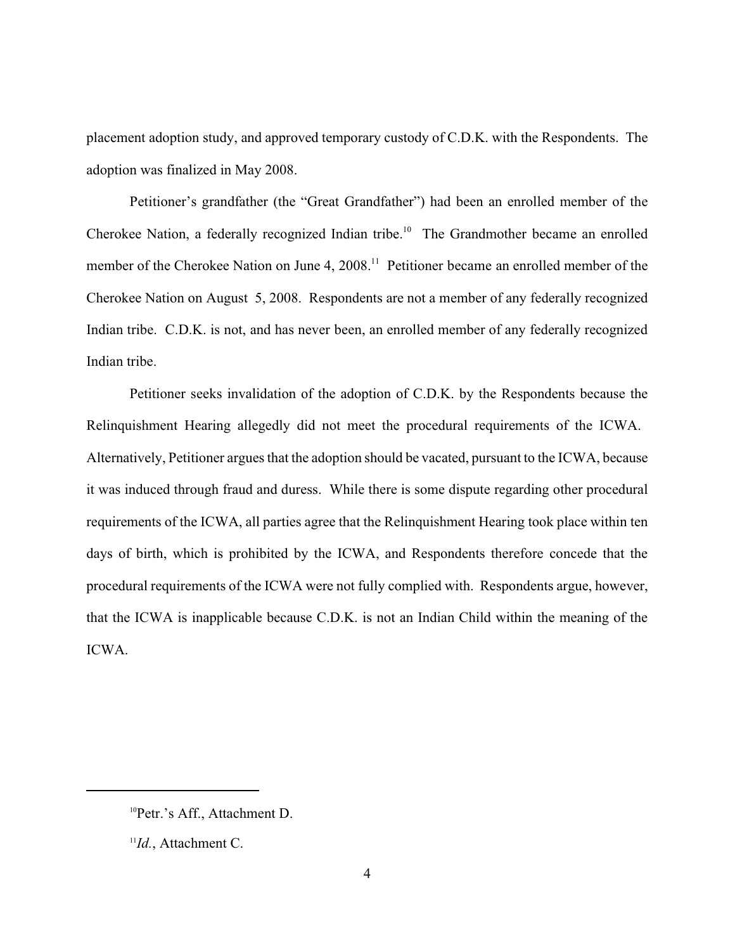placement adoption study, and approved temporary custody of C.D.K. with the Respondents. The adoption was finalized in May 2008.

Petitioner's grandfather (the "Great Grandfather") had been an enrolled member of the Cherokee Nation, a federally recognized Indian tribe.<sup>10</sup> The Grandmother became an enrolled member of the Cherokee Nation on June 4,  $2008$ <sup> $11$ </sup> Petitioner became an enrolled member of the Cherokee Nation on August 5, 2008. Respondents are not a member of any federally recognized Indian tribe. C.D.K. is not, and has never been, an enrolled member of any federally recognized Indian tribe.

Petitioner seeks invalidation of the adoption of C.D.K. by the Respondents because the Relinquishment Hearing allegedly did not meet the procedural requirements of the ICWA. Alternatively, Petitioner argues that the adoption should be vacated, pursuant to the ICWA, because it was induced through fraud and duress. While there is some dispute regarding other procedural requirements of the ICWA, all parties agree that the Relinquishment Hearing took place within ten days of birth, which is prohibited by the ICWA, and Respondents therefore concede that the procedural requirements of the ICWA were not fully complied with. Respondents argue, however, that the ICWA is inapplicable because C.D.K. is not an Indian Child within the meaning of the ICWA.

<sup>&</sup>lt;sup>10</sup>Petr.'s Aff., Attachment D.

 $\mathbb{I}$ *Id.*, Attachment C.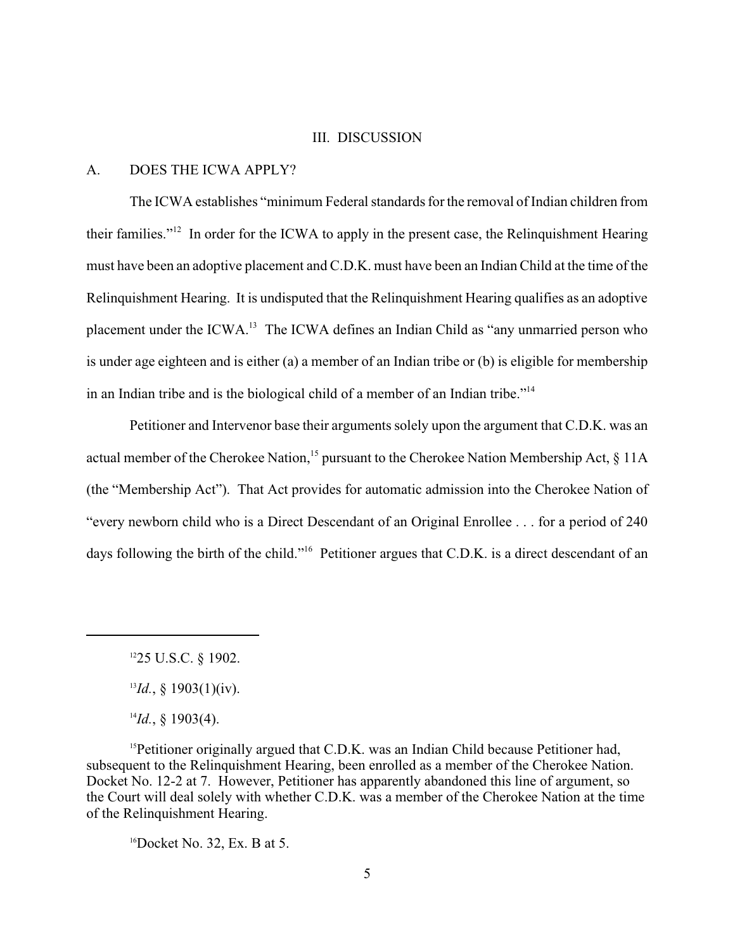#### III. DISCUSSION

#### A. DOES THE ICWA APPLY?

The ICWA establishes "minimum Federal standards for the removal of Indian children from their families."<sup>12</sup> In order for the ICWA to apply in the present case, the Relinquishment Hearing must have been an adoptive placement and C.D.K. must have been an Indian Child at the time of the Relinquishment Hearing. It is undisputed that the Relinquishment Hearing qualifies as an adoptive placement under the ICWA.<sup>13</sup> The ICWA defines an Indian Child as "any unmarried person who is under age eighteen and is either (a) a member of an Indian tribe or (b) is eligible for membership in an Indian tribe and is the biological child of a member of an Indian tribe."<sup>14</sup>

Petitioner and Intervenor base their arguments solely upon the argument that C.D.K. was an actual member of the Cherokee Nation, <sup>15</sup> pursuant to the Cherokee Nation Membership Act,  $\S$  11A (the "Membership Act"). That Act provides for automatic admission into the Cherokee Nation of "every newborn child who is a Direct Descendant of an Original Enrollee . . . for a period of 240 days following the birth of the child."<sup>16</sup> Petitioner argues that C.D.K. is a direct descendant of an

<sup>15</sup>Petitioner originally argued that C.D.K. was an Indian Child because Petitioner had, subsequent to the Relinquishment Hearing, been enrolled as a member of the Cherokee Nation. Docket No. 12-2 at 7. However, Petitioner has apparently abandoned this line of argument, so the Court will deal solely with whether C.D.K. was a member of the Cherokee Nation at the time of the Relinquishment Hearing.

 ${}^{16}$ Docket No. 32, Ex. B at 5.

 $1225$  U.S.C. § 1902.

 $^{13}Id.$ , § 1903(1)(iv).

 $^{14}Id.$ , § 1903(4).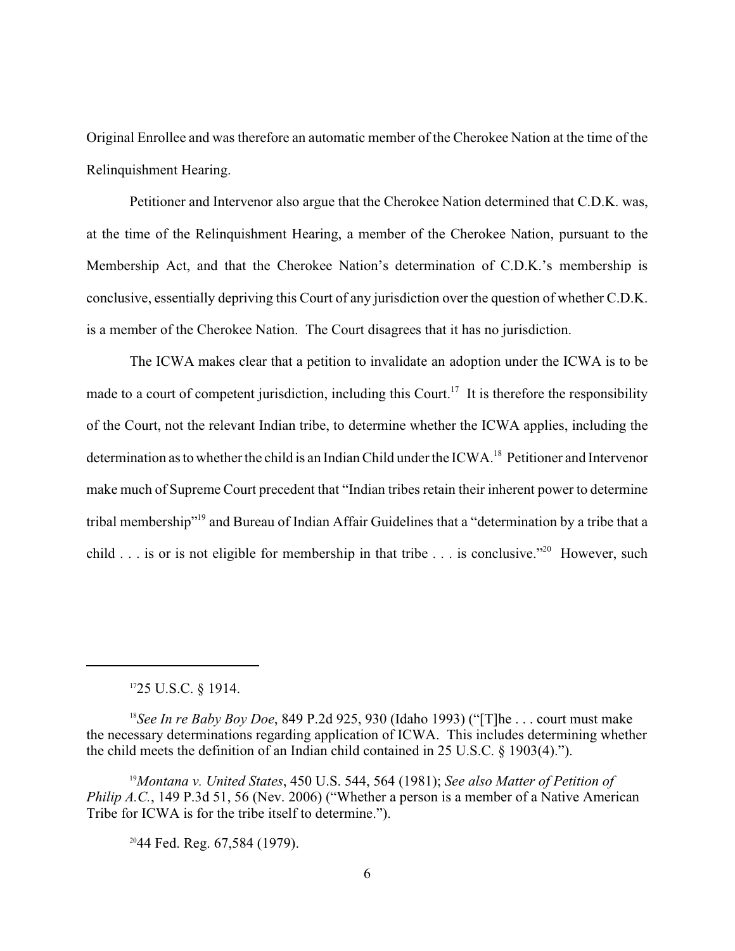Original Enrollee and was therefore an automatic member of the Cherokee Nation at the time of the Relinquishment Hearing.

Petitioner and Intervenor also argue that the Cherokee Nation determined that C.D.K. was, at the time of the Relinquishment Hearing, a member of the Cherokee Nation, pursuant to the Membership Act, and that the Cherokee Nation's determination of C.D.K.'s membership is conclusive, essentially depriving this Court of any jurisdiction over the question of whether C.D.K. is a member of the Cherokee Nation. The Court disagrees that it has no jurisdiction.

The ICWA makes clear that a petition to invalidate an adoption under the ICWA is to be made to a court of competent jurisdiction, including this Court.<sup>17</sup> It is therefore the responsibility of the Court, not the relevant Indian tribe, to determine whether the ICWA applies, including the determination as to whether the child is an Indian Child under the ICWA.<sup>18</sup> Petitioner and Intervenor make much of Supreme Court precedent that "Indian tribes retain their inherent power to determine tribal membership"<sup>19</sup> and Bureau of Indian Affair Guidelines that a "determination by a tribe that a child . . . is or is not eligible for membership in that tribe  $\ldots$  is conclusive." However, such

 $1725$  U.S.C. § 1914.

<sup>18</sup>See In re Baby Boy Doe, 849 P.2d 925, 930 (Idaho 1993) ("The ... court must make the necessary determinations regarding application of ICWA. This includes determining whether the child meets the definition of an Indian child contained in 25 U.S.C. § 1903(4).").

*Montana v. United States*, 450 U.S. 544, 564 (1981); *See also Matter of Petition of* <sup>19</sup> *Philip A.C.*, 149 P.3d 51, 56 (Nev. 2006) ("Whether a person is a member of a Native American Tribe for ICWA is for the tribe itself to determine.").

 $2044$  Fed. Reg. 67,584 (1979).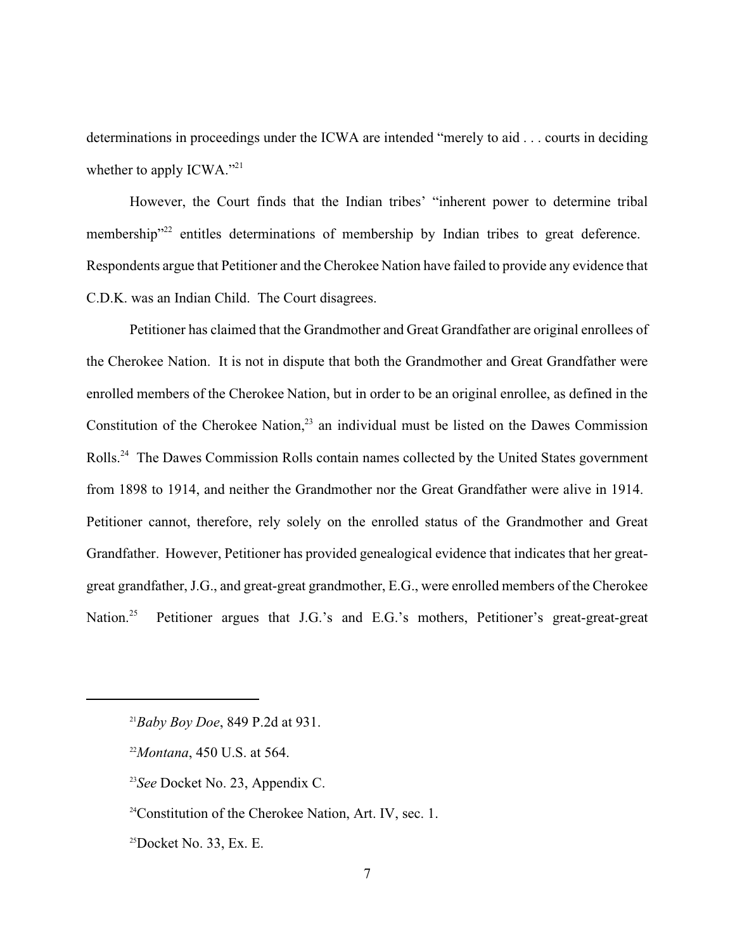determinations in proceedings under the ICWA are intended "merely to aid . . . courts in deciding whether to apply  $ICWA.^{"21}$ 

However, the Court finds that the Indian tribes' "inherent power to determine tribal membership"<sup>22</sup> entitles determinations of membership by Indian tribes to great deference. Respondents argue that Petitioner and the Cherokee Nation have failed to provide any evidence that C.D.K. was an Indian Child. The Court disagrees.

Petitioner has claimed that the Grandmother and Great Grandfather are original enrollees of the Cherokee Nation. It is not in dispute that both the Grandmother and Great Grandfather were enrolled members of the Cherokee Nation, but in order to be an original enrollee, as defined in the Constitution of the Cherokee Nation, $^{23}$  an individual must be listed on the Dawes Commission Rolls.<sup>24</sup> The Dawes Commission Rolls contain names collected by the United States government from 1898 to 1914, and neither the Grandmother nor the Great Grandfather were alive in 1914. Petitioner cannot, therefore, rely solely on the enrolled status of the Grandmother and Great Grandfather. However, Petitioner has provided genealogical evidence that indicates that her greatgreat grandfather, J.G., and great-great grandmother, E.G., were enrolled members of the Cherokee Petitioner argues that J.G.'s and E.G.'s mothers, Petitioner's great-great-great Nation. $25$ 

 $^{21}B$ aby Boy Doe, 849 P.2d at 931.

<sup>&</sup>lt;sup>22</sup>Montana, 450 U.S. at 564.

<sup>&</sup>lt;sup>23</sup>See Docket No. 23, Appendix C.

 $24$ Constitution of the Cherokee Nation, Art. IV, sec. 1.

 $25$ Docket No. 33, Ex. E.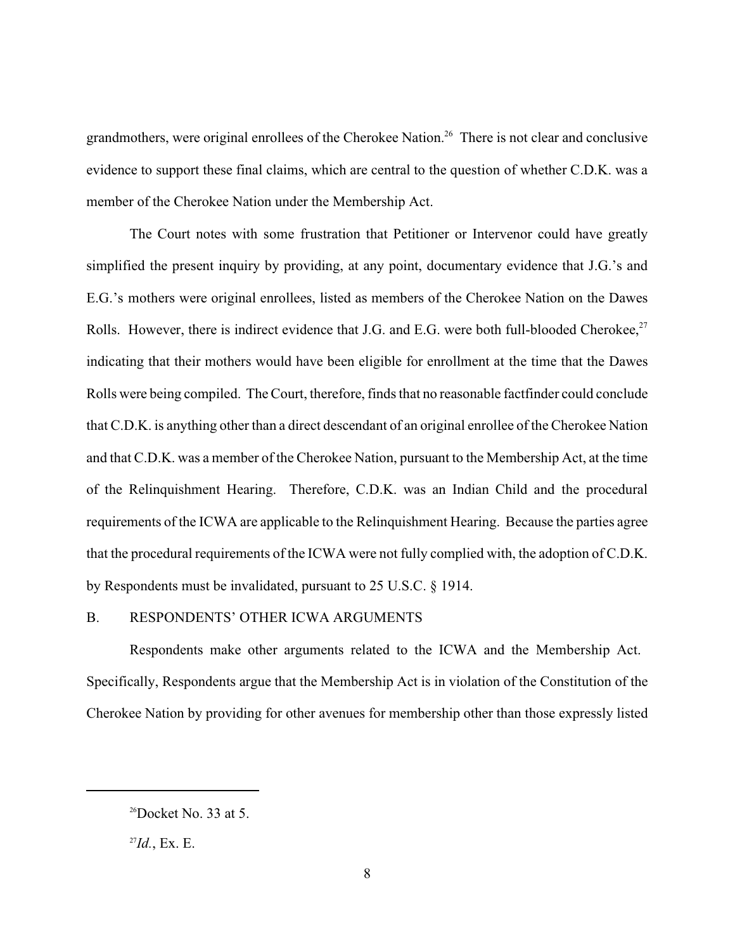grandmothers, were original enrollees of the Cherokee Nation.<sup>26</sup> There is not clear and conclusive evidence to support these final claims, which are central to the question of whether C.D.K. was a member of the Cherokee Nation under the Membership Act.

The Court notes with some frustration that Petitioner or Intervenor could have greatly simplified the present inquiry by providing, at any point, documentary evidence that J.G.'s and E.G.'s mothers were original enrollees, listed as members of the Cherokee Nation on the Dawes Rolls. However, there is indirect evidence that J.G. and E.G. were both full-blooded Cherokee,<sup>27</sup> indicating that their mothers would have been eligible for enrollment at the time that the Dawes Rolls were being compiled. The Court, therefore, finds that no reasonable factfinder could conclude that C.D.K. is anything other than a direct descendant of an original enrollee of the Cherokee Nation and that C.D.K. was a member of the Cherokee Nation, pursuant to the Membership Act, at the time of the Relinquishment Hearing. Therefore, C.D.K. was an Indian Child and the procedural requirements of the ICWA are applicable to the Relinquishment Hearing. Because the parties agree that the procedural requirements of the ICWA were not fully complied with, the adoption of C.D.K. by Respondents must be invalidated, pursuant to 25 U.S.C. § 1914.

## B. RESPONDENTS' OTHER ICWA ARGUMENTS

Respondents make other arguments related to the ICWA and the Membership Act. Specifically, Respondents argue that the Membership Act is in violation of the Constitution of the Cherokee Nation by providing for other avenues for membership other than those expressly listed

 $26$ Docket No. 33 at 5.

 $^{27}Id.$ , Ex. E.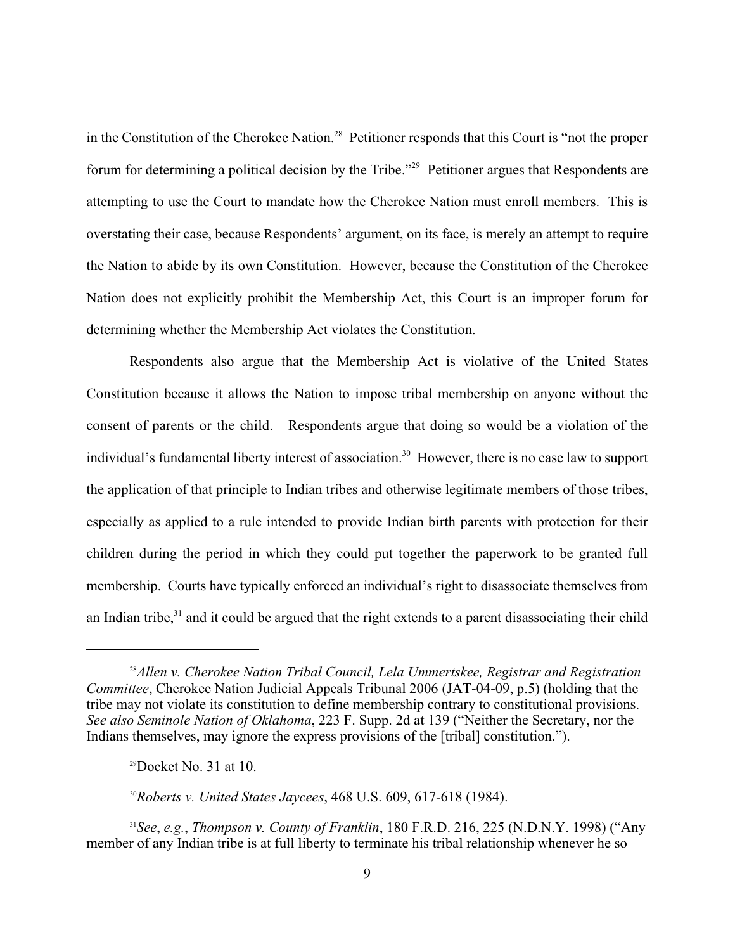in the Constitution of the Cherokee Nation.<sup>28</sup> Petitioner responds that this Court is "not the proper forum for determining a political decision by the Tribe."<sup>29</sup> Petitioner argues that Respondents are attempting to use the Court to mandate how the Cherokee Nation must enroll members. This is overstating their case, because Respondents' argument, on its face, is merely an attempt to require the Nation to abide by its own Constitution. However, because the Constitution of the Cherokee Nation does not explicitly prohibit the Membership Act, this Court is an improper forum for determining whether the Membership Act violates the Constitution.

Respondents also argue that the Membership Act is violative of the United States Constitution because it allows the Nation to impose tribal membership on anyone without the consent of parents or the child. Respondents argue that doing so would be a violation of the individual's fundamental liberty interest of association.<sup>30</sup> However, there is no case law to support the application of that principle to Indian tribes and otherwise legitimate members of those tribes, especially as applied to a rule intended to provide Indian birth parents with protection for their children during the period in which they could put together the paperwork to be granted full membership. Courts have typically enforced an individual's right to disassociate themselves from an Indian tribe, $3<sup>1</sup>$  and it could be argued that the right extends to a parent disassociating their child

<sup>30</sup>Roberts v. United States Jaycees, 468 U.S. 609, 617-618 (1984).

*See*, *e.g.*, *Thompson v. County of Franklin*, 180 F.R.D. 216, 225 (N.D.N.Y. 1998) ("Any <sup>31</sup> member of any Indian tribe is at full liberty to terminate his tribal relationship whenever he so

<sup>&</sup>lt;sup>28</sup> Allen v. Cherokee Nation Tribal Council, Lela Ummertskee, Registrar and Registration *Committee*, Cherokee Nation Judicial Appeals Tribunal 2006 (JAT-04-09, p.5) (holding that the tribe may not violate its constitution to define membership contrary to constitutional provisions. *See also Seminole Nation of Oklahoma*, 223 F. Supp. 2d at 139 ("Neither the Secretary, nor the Indians themselves, may ignore the express provisions of the [tribal] constitution.").

 $29$ Docket No. 31 at 10.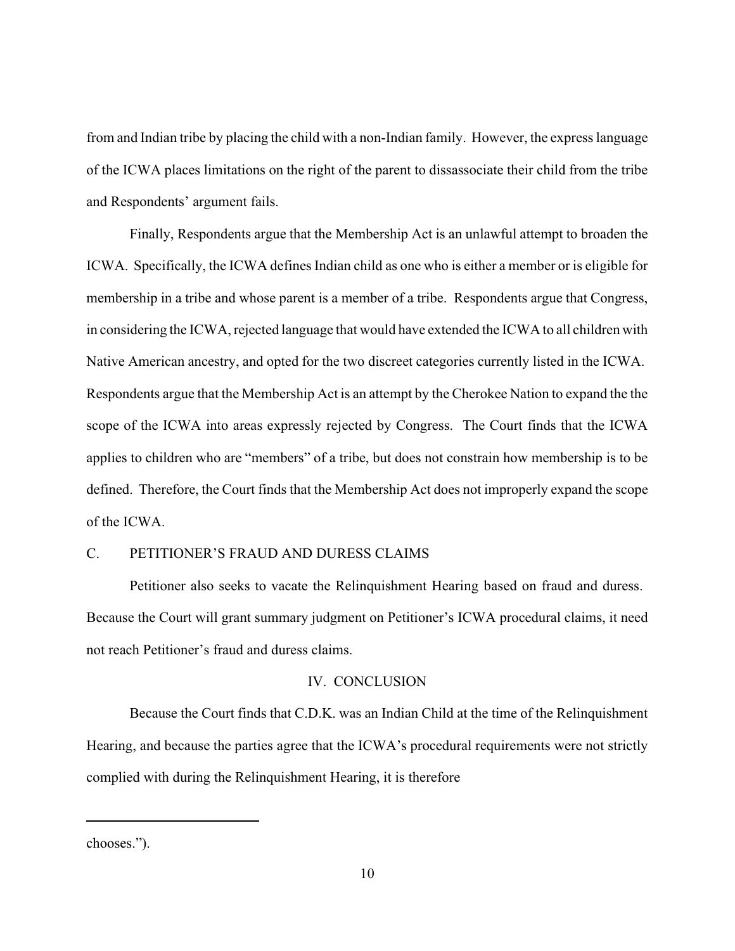from and Indian tribe by placing the child with a non-Indian family. However, the express language of the ICWA places limitations on the right of the parent to dissassociate their child from the tribe and Respondents' argument fails.

Finally, Respondents argue that the Membership Act is an unlawful attempt to broaden the ICWA. Specifically, the ICWA defines Indian child as one who is either a member or is eligible for membership in a tribe and whose parent is a member of a tribe. Respondents argue that Congress, in considering the ICWA, rejected language that would have extended the ICWA to all children with Native American ancestry, and opted for the two discreet categories currently listed in the ICWA. Respondents argue that the Membership Act is an attempt by the Cherokee Nation to expand the the scope of the ICWA into areas expressly rejected by Congress. The Court finds that the ICWA applies to children who are "members" of a tribe, but does not constrain how membership is to be defined. Therefore, the Court finds that the Membership Act does not improperly expand the scope of the ICWA.

## C. PETITIONER'S FRAUD AND DURESS CLAIMS

Petitioner also seeks to vacate the Relinquishment Hearing based on fraud and duress. Because the Court will grant summary judgment on Petitioner's ICWA procedural claims, it need not reach Petitioner's fraud and duress claims.

## IV. CONCLUSION

Because the Court finds that C.D.K. was an Indian Child at the time of the Relinquishment Hearing, and because the parties agree that the ICWA's procedural requirements were not strictly complied with during the Relinquishment Hearing, it is therefore

chooses.").